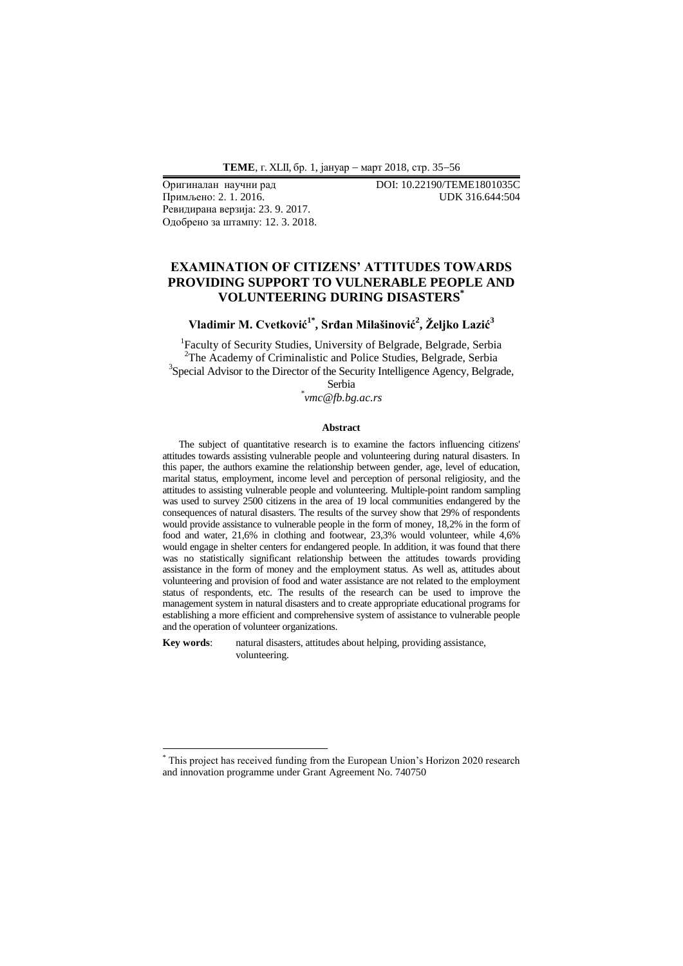**ТЕМЕ**, г. XLII, бр. 1, јануар - март 2018, стр. 35-56

Примљено: 2. 1. 2016. UDK 316.644:504 Ревидирана верзија: 23. 9. 2017. Одобрено за штампу: 12. 3. 2018.

Оригиналан научни рад DOI: 10.22190/TEME1801035C

## **EXAMINATION OF CITIZENS' ATTITUDES TOWARDS PROVIDING SUPPORT TO VULNERABLE PEOPLE AND VOLUNTEERING DURING DISASTERS\***

**Vladimir M. Cvetković1\* , Srđan Milašinović<sup>2</sup> , Željko Lazić<sup>3</sup>**

<sup>1</sup>Faculty of Security Studies, University of Belgrade, Belgrade, Serbia <sup>2</sup>The Academy of Criminalistic and Police Studies, Belgrade, Serbia <sup>3</sup>Special Advisor to the Director of the Security Intelligence Agency, Belgrade,

> Serbia *\* vmc@fb.bg.ac.rs*

#### **Abstract**

The subject of quantitative research is to examine the factors influencing citizens' attitudes towards assisting vulnerable people and volunteering during natural disasters. In this paper, the authors examine the relationship between gender, age, level of education, marital status, employment, income level and perception of personal religiosity, and the attitudes to assisting vulnerable people and volunteering. Multiple-point random sampling was used to survey 2500 citizens in the area of 19 local communities endangered by the consequences of natural disasters. The results of the survey show that 29% of respondents would provide assistance to vulnerable people in the form of money, 18,2% in the form of food and water, 21,6% in clothing and footwear, 23,3% would volunteer, while 4,6% would engage in shelter centers for endangered people. In addition, it was found that there was no statistically significant relationship between the attitudes towards providing assistance in the form of money and the employment status. As well as, attitudes about volunteering and provision of food and water assistance are not related to the employment status of respondents, etc. The results of the research can be used to improve the management system in natural disasters and to create appropriate educational programs for establishing a more efficient and comprehensive system of assistance to vulnerable people and the operation of volunteer organizations.

**Key words**: natural disasters, attitudes about helping, providing assistance, volunteering.

-

\* This project has received funding from the European Union's Horizon 2020 research and innovation programme under Grant Agreement No. 740750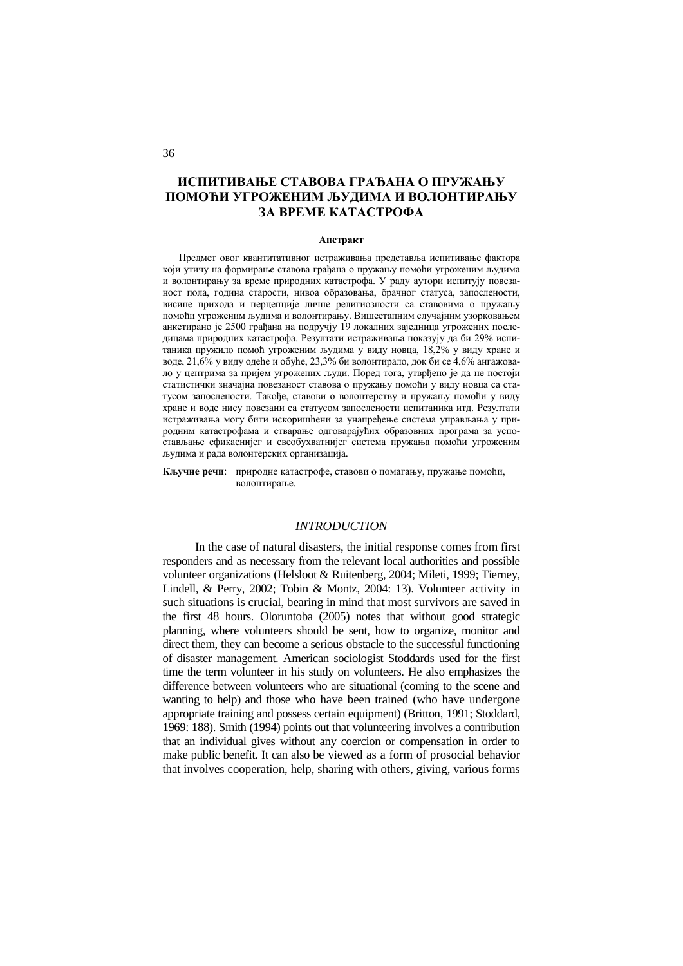# **ИСПИТИВАЊЕ СТАВОВА ГРАЂАНА О ПРУЖАЊУ ПОМОЋИ УГРОЖЕНИМ ЉУДИМА И ВОЛОНТИРАЊУ ЗА ВРЕМЕ КАТАСТРОФА**

#### **Апстракт**

Предмет овог квантитативног истраживања представља испитивање фактора који утичу на формирање ставова грађана о пружању помоћи угроженим људима и волонтирању за време природних катастрофа. У раду аутори испитују повезаност пола, година старости, нивоа образовања, брачног статуса, запослености, висине прихода и перцепције личне религиозности са ставовима о пружању помоћи угроженим људима и волонтирању. Вишеетапним случајним узорковањем анкетирано је 2500 грађана на подручју 19 локалних заједница угрожених последицама природних катастрофа. Резултати истраживања показују да би 29% испитаника пружило помоћ угроженим људима у виду новца, 18,2% у виду хране и воде, 21,6% у виду одеће и обуће, 23,3% би волонтирало, док би се 4,6% ангажовало у центрима за пријем угрожених људи. Поред тога, утврђено је да не постоји статистички значајна повезаност ставова о пружању помоћи у виду новца са статусом запослености. Такође, ставови о волонтерству и пружању помоћи у виду хране и воде нису повезани са статусом запослености испитаника итд. Резултати истраживања могу бити искоришћени за унапређење система управљања у природним катастрофама и стварање одговарајућих образовних програма за успостављање ефикаснијег и свеобухватнијег система пружања помоћи угроженим људима и рада волонтерских организација.

**Кључне речи**: природне катастрофе, ставови о помагању, пружање помоћи, волонтирање.

### *INTRODUCTION*

In the case of natural disasters, the initial response comes from first responders and as necessary from the relevant local authorities and possible volunteer organizations (Helsloot & Ruitenberg, 2004; Mileti, 1999; Tierney, Lindell, & Perry, 2002; Tobin & Montz, 2004: 13). Volunteer activity in such situations is crucial, bearing in mind that most survivors are saved in the first 48 hours. Oloruntoba (2005) notes that without good strategic planning, where volunteers should be sent, how to organize, monitor and direct them, they can become a serious obstacle to the successful functioning of disaster management. American sociologist Stoddards used for the first time the term volunteer in his study on volunteers. He also emphasizes the difference between volunteers who are situational (coming to the scene and wanting to help) and those who have been trained (who have undergone appropriate training and possess certain equipment) (Britton, 1991; Stoddard, 1969: 188). Smith (1994) points out that volunteering involves a contribution that an individual gives without any coercion or compensation in order to make public benefit. It can also be viewed as a form of prosocial behavior that involves cooperation, help, sharing with others, giving, various forms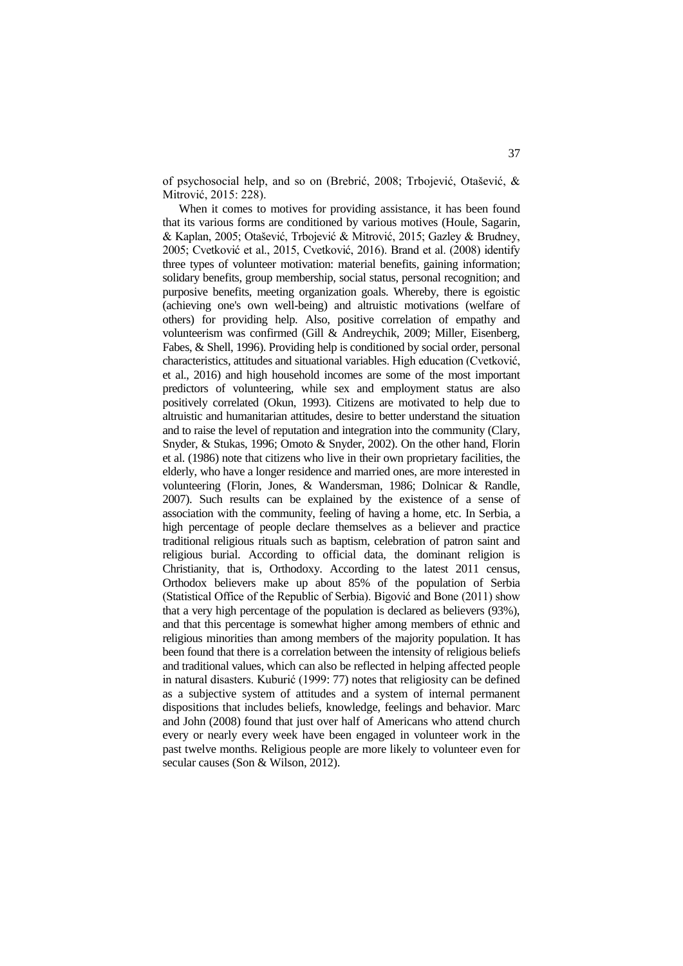of psychosocial help, and so on (Brebrić, 2008; Trbojević, Otašević, & Mitrović, 2015: 228).

When it comes to motives for providing assistance, it has been found that its various forms are conditioned by various motives (Houle, Sagarin, & Kaplan, 2005; Otašević, Trbojević & Mitrović, 2015; Gazley & Brudney, 2005; Cvetković et al., 2015, Cvetković, 2016). Brand et al. (2008) identify three types of volunteer motivation: material benefits, gaining information; solidary benefits, group membership, social status, personal recognition; and purposive benefits, meeting organization goals. Whereby, there is egoistic (achieving one's own well-being) and altruistic motivations (welfare of others) for providing help. Also, positive correlation of empathy and volunteerism was confirmed (Gill & Andreychik, 2009; Miller, Eisenberg, Fabes, & Shell, 1996). Providing help is conditioned by social order, personal characteristics, attitudes and situational variables. High education (Cvetković, et al., 2016) and high household incomes are some of the most important predictors of volunteering, while sex and employment status are also positively correlated (Okun, 1993). Citizens are motivated to help due to altruistic and humanitarian attitudes, desire to better understand the situation and to raise the level of reputation and integration into the community (Clary, Snyder, & Stukas, 1996; Omoto & Snyder, 2002). On the other hand, Florin et al. (1986) note that citizens who live in their own proprietary facilities, the elderly, who have a longer residence and married ones, are more interested in volunteering (Florin, Jones, & Wandersman, 1986; Dolnicar & Randle, 2007). Such results can be explained by the existence of a sense of association with the community, feeling of having a home, etc. In Serbia, a high percentage of people declare themselves as a believer and practice traditional religious rituals such as baptism, celebration of patron saint and religious burial. According to official data, the dominant religion is Christianity, that is, Orthodoxy. According to the latest 2011 census, Orthodox believers make up about 85% of the population of Serbia (Statistical Office of the Republic of Serbia). Bigović and Bone (2011) show that a very high percentage of the population is declared as believers (93%), and that this percentage is somewhat higher among members of ethnic and religious minorities than among members of the majority population. It has been found that there is a correlation between the intensity of religious beliefs and traditional values, which can also be reflected in helping affected people in natural disasters. Kuburić (1999: 77) notes that religiosity can be defined as a subjective system of attitudes and a system of internal permanent dispositions that includes beliefs, knowledge, feelings and behavior. Marc and John (2008) found that just over half of Americans who attend church every or nearly every week have been engaged in volunteer work in the past twelve months. Religious people are more likely to volunteer even for secular causes (Son & Wilson, 2012).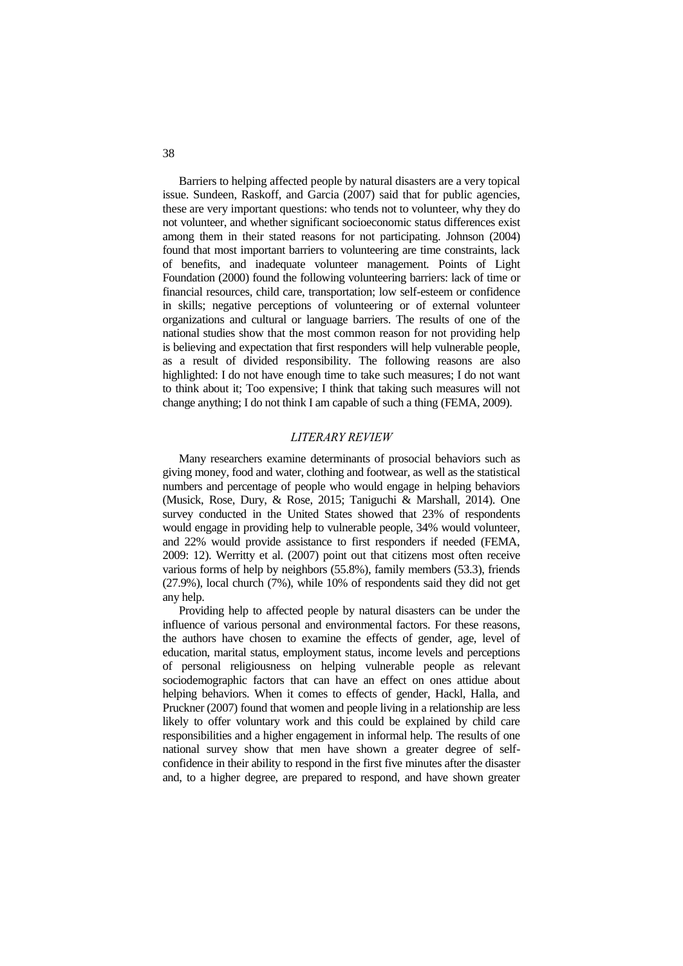Barriers to helping affected people by natural disasters are a very topical issue. Sundeen, Raskoff, and Garcia (2007) said that for public agencies, these are very important questions: who tends not to volunteer, why they do not volunteer, and whether significant socioeconomic status differences exist among them in their stated reasons for not participating. Johnson (2004) found that most important barriers to volunteering are time constraints, lack of benefits, and inadequate volunteer management. Points of Light Foundation (2000) found the following volunteering barriers: lack of time or financial resources, child care, transportation; low self-esteem or confidence in skills; negative perceptions of volunteering or of external volunteer organizations and cultural or language barriers. The results of one of the national studies show that the most common reason for not providing help is believing and expectation that first responders will help vulnerable people, as a result of divided responsibility. The following reasons are also highlighted: I do not have enough time to take such measures; I do not want to think about it; Too expensive; I think that taking such measures will not change anything; I do not think I am capable of such a thing (FEMA, 2009).

### *LITERARY REVIEW*

Many researchers examine determinants of prosocial behaviors such as giving money, food and water, clothing and footwear, as well as the statistical numbers and percentage of people who would engage in helping behaviors (Musick, Rose, Dury, & Rose, 2015; Taniguchi & Marshall, 2014). One survey conducted in the United States showed that 23% of respondents would engage in providing help to vulnerable people, 34% would volunteer, and 22% would provide assistance to first responders if needed (FEMA, 2009: 12). Werritty et al. (2007) point out that citizens most often receive various forms of help by neighbors (55.8%), family members (53.3), friends (27.9%), local church (7%), while 10% of respondents said they did not get any help.

Providing help to affected people by natural disasters can be under the influence of various personal and environmental factors. For these reasons, the authors have chosen to examine the effects of gender, age, level of education, marital status, employment status, income levels and perceptions of personal religiousness on helping vulnerable people as relevant sociodemographic factors that can have an effect on ones attidue about helping behaviors. When it comes to effects of gender, Hackl, Halla, and Pruckner (2007) found that women and people living in a relationship are less likely to offer voluntary work and this could be explained by child care responsibilities and a higher engagement in informal help. The results of one national survey show that men have shown a greater degree of selfconfidence in their ability to respond in the first five minutes after the disaster and, to a higher degree, are prepared to respond, and have shown greater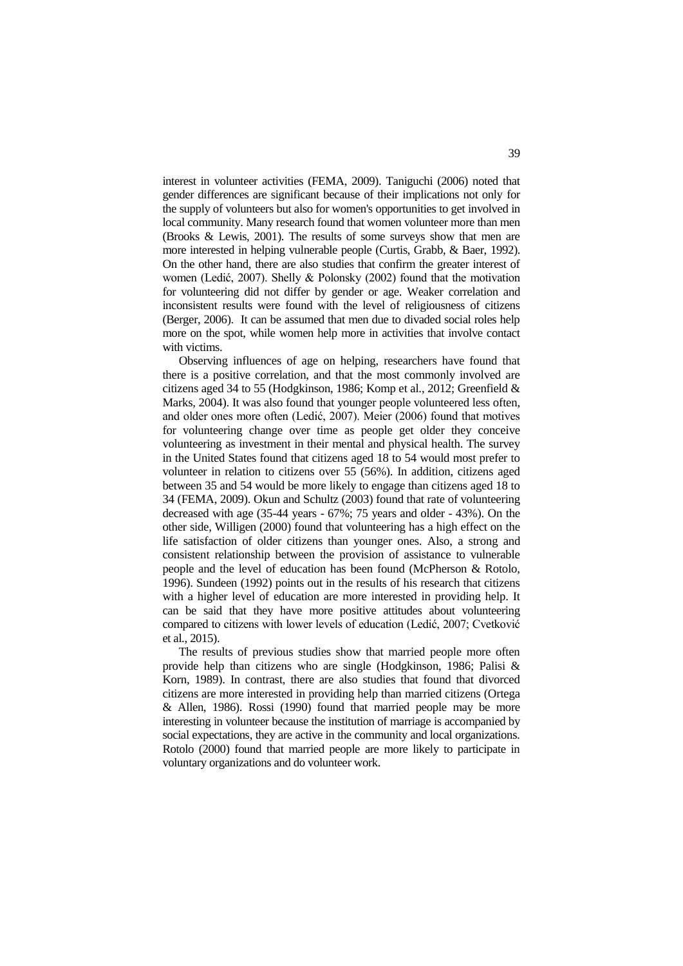interest in volunteer activities (FEMA, 2009). Taniguchi (2006) noted that gender differences are significant because of their implications not only for the supply of volunteers but also for women's opportunities to get involved in local community. Many research found that women volunteer more than men (Brooks & Lewis, 2001). The results of some surveys show that men are more interested in helping vulnerable people (Curtis, Grabb, & Baer, 1992). On the other hand, there are also studies that confirm the greater interest of women (Ledić, 2007). Shelly & Polonsky (2002) found that the motivation for volunteering did not differ by gender or age. Weaker correlation and inconsistent results were found with the level of religiousness of citizens (Berger, 2006). It can be assumed that men due to divaded social roles help more on the spot, while women help more in activities that involve contact with victims.

Observing influences of age on helping, researchers have found that there is a positive correlation, and that the most commonly involved are citizens aged 34 to 55 (Hodgkinson, 1986; Komp et al., 2012; Greenfield & Marks, 2004). It was also found that younger people volunteered less often, and older ones more often (Ledić, 2007). Meier (2006) found that motives for volunteering change over time as people get older they conceive volunteering as investment in their mental and physical health. The survey in the United States found that citizens aged 18 to 54 would most prefer to volunteer in relation to citizens over 55 (56%). In addition, citizens aged between 35 and 54 would be more likely to engage than citizens aged 18 to 34 (FEMA, 2009). Okun and Schultz (2003) found that rate of volunteering decreased with age (35-44 years - 67%; 75 years and older - 43%). On the other side, Willigen (2000) found that volunteering has a high effect on the life satisfaction of older citizens than younger ones. Also, a strong and consistent relationship between the provision of assistance to vulnerable people and the level of education has been found (McPherson & Rotolo, 1996). Sundeen (1992) points out in the results of his research that citizens with a higher level of education are more interested in providing help. It can be said that they have more positive attitudes about volunteering compared to citizens with lower levels of education (Ledić, 2007; Cvetković et al., 2015).

The results of previous studies show that married people more often provide help than citizens who are single (Hodgkinson, 1986; Palisi & Korn, 1989). In contrast, there are also studies that found that divorced citizens are more interested in providing help than married citizens (Ortega & Allen, 1986). Rossi (1990) found that married people may be more interesting in volunteer because the institution of marriage is accompanied by social expectations, they are active in the community and local organizations. Rotolo (2000) found that married people are more likely to participate in voluntary organizations and do volunteer work.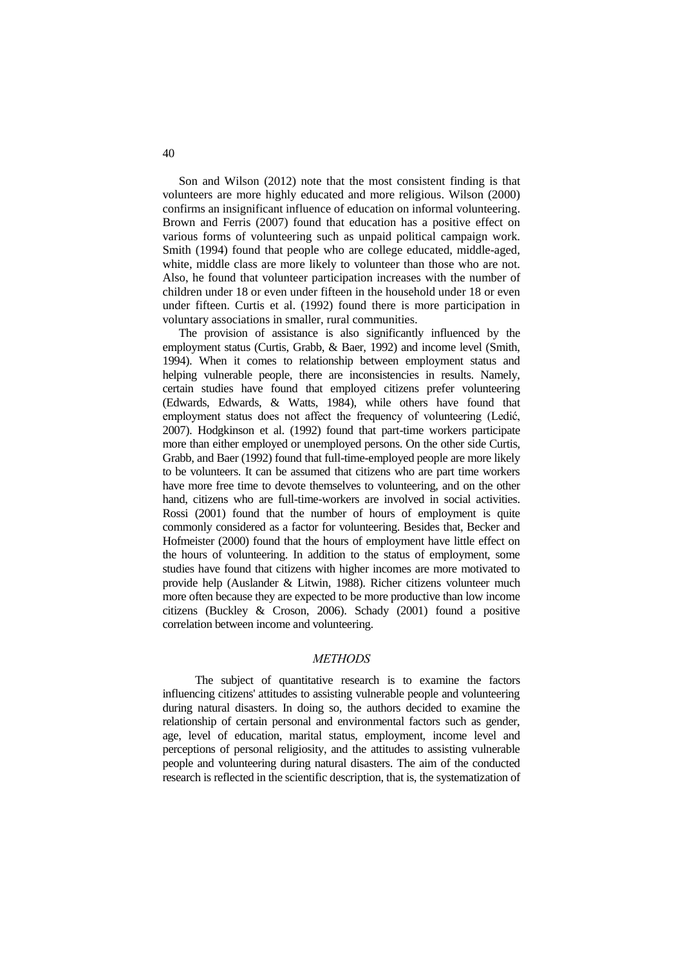Son and Wilson (2012) note that the most consistent finding is that volunteers are more highly educated and more religious. Wilson (2000) confirms an insignificant influence of education on informal volunteering. Brown and Ferris (2007) found that education has a positive effect on various forms of volunteering such as unpaid political campaign work. Smith (1994) found that people who are college educated, middle-aged, white, middle class are more likely to volunteer than those who are not. Also, he found that volunteer participation increases with the number of children under 18 or even under fifteen in the household under 18 or even under fifteen. Curtis et al. (1992) found there is more participation in voluntary associations in smaller, rural communities.

The provision of assistance is also significantly influenced by the employment status (Curtis, Grabb, & Baer, 1992) and income level (Smith, 1994). When it comes to relationship between employment status and helping vulnerable people, there are inconsistencies in results. Namely, certain studies have found that employed citizens prefer volunteering (Edwards, Edwards, & Watts, 1984), while others have found that employment status does not affect the frequency of volunteering (Ledić, 2007). Hodgkinson et al. (1992) found that part-time workers participate more than either employed or unemployed persons. On the other side Curtis, Grabb, and Baer (1992) found that full-time-employed people are more likely to be volunteers. It can be assumed that citizens who are part time workers have more free time to devote themselves to volunteering, and on the other hand, citizens who are full-time-workers are involved in social activities. Rossi (2001) found that the number of hours of employment is quite commonly considered as a factor for volunteering. Besides that, Becker and Hofmeister (2000) found that the hours of employment have little effect on the hours of volunteering. In addition to the status of employment, some studies have found that citizens with higher incomes are more motivated to provide help (Auslander & Litwin, 1988). Richer citizens volunteer much more often because they are expected to be more productive than low income citizens (Buckley & Croson, 2006). Schady (2001) found a positive correlation between income and volunteering.

#### *METHODS*

The subject of quantitative research is to examine the factors influencing citizens' attitudes to assisting vulnerable people and volunteering during natural disasters. In doing so, the authors decided to examine the relationship of certain personal and environmental factors such as gender, age, level of education, marital status, employment, income level and perceptions of personal religiosity, and the attitudes to assisting vulnerable people and volunteering during natural disasters. The aim of the conducted research is reflected in the scientific description, that is, the systematization of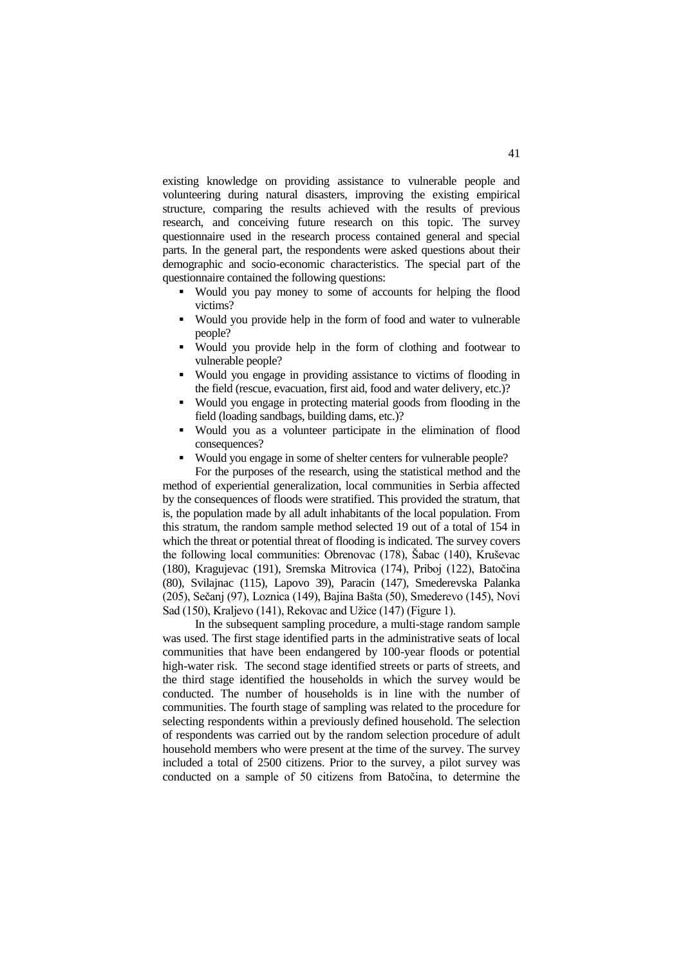existing knowledge on providing assistance to vulnerable people and volunteering during natural disasters, improving the existing empirical structure, comparing the results achieved with the results of previous research, and conceiving future research on this topic. The survey questionnaire used in the research process contained general and special parts. In the general part, the respondents were asked questions about their demographic and socio-economic characteristics. The special part of the questionnaire contained the following questions:

- Would you pay money to some of accounts for helping the flood victims?
- Would you provide help in the form of food and water to vulnerable people?
- Would you provide help in the form of clothing and footwear to vulnerable people?
- Would you engage in providing assistance to victims of flooding in the field (rescue, evacuation, first aid, food and water delivery, etc.)?
- Would you engage in protecting material goods from flooding in the field (loading sandbags, building dams, etc.)?
- Would you as a volunteer participate in the elimination of flood consequences?
- Would you engage in some of shelter centers for vulnerable people?

For the purposes of the research, using the statistical method and the method of experiential generalization, local communities in Serbia affected by the consequences of floods were stratified. This provided the stratum, that is, the population made by all adult inhabitants of the local population. From this stratum, the random sample method selected 19 out of a total of 154 in which the threat or potential threat of flooding is indicated. The survey covers the following local communities: Obrenovac (178), Šabac (140), Kruševac (180), Kragujevac (191), Sremska Mitrovica (174), Priboj (122), Batočina (80), Svilajnac (115), Lapovo 39), Paracin (147), Smederevska Palanka (205), Sečanj (97), Loznica (149), Bajina Bašta (50), Smederevo (145), Novi Sad (150), Kraljevo (141), Rekovac and Užice (147) (Figure 1).

In the subsequent sampling procedure, a multi-stage random sample was used. The first stage identified parts in the administrative seats of local communities that have been endangered by 100-year floods or potential high-water risk. The second stage identified streets or parts of streets, and the third stage identified the households in which the survey would be conducted. The number of households is in line with the number of communities. The fourth stage of sampling was related to the procedure for selecting respondents within a previously defined household. The selection of respondents was carried out by the random selection procedure of adult household members who were present at the time of the survey. The survey included a total of 2500 citizens. Prior to the survey, a pilot survey was conducted on a sample of 50 citizens from Batočina, to determine the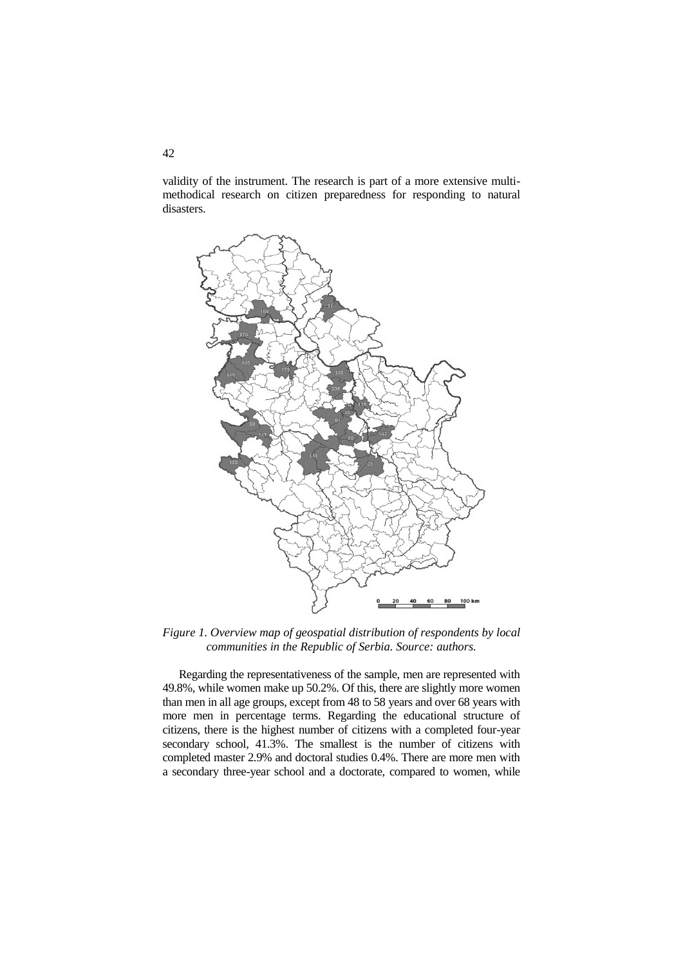validity of the instrument. The research is part of a more extensive multimethodical research on citizen preparedness for responding to natural disasters.



*Figure 1. Overview map of geospatial distribution of respondents by local communities in the Republic of Serbia. Source: authors.*

Regarding the representativeness of the sample, men are represented with 49.8%, while women make up 50.2%. Of this, there are slightly more women than men in all age groups, except from 48 to 58 years and over 68 years with more men in percentage terms. Regarding the educational structure of citizens, there is the highest number of citizens with a completed four-year secondary school, 41.3%. The smallest is the number of citizens with completed master 2.9% and doctoral studies 0.4%. There are more men with a secondary three-year school and a doctorate, compared to women, while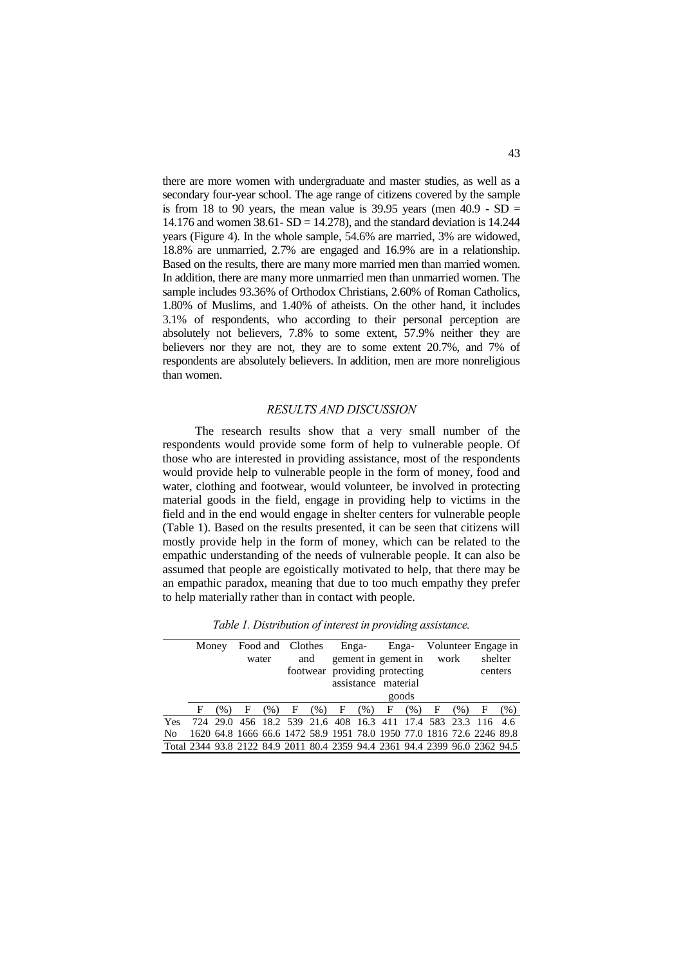there are more women with undergraduate and master studies, as well as a secondary four-year school. The age range of citizens covered by the sample is from 18 to 90 years, the mean value is 39.95 years (men  $40.9$  - SD = 14.176 and women  $38.61 - SD = 14.278$ , and the standard deviation is 14.244 years (Figure 4). In the whole sample, 54.6% are married, 3% are widowed, 18.8% are unmarried, 2.7% are engaged and 16.9% are in a relationship. Based on the results, there are many more married men than married women. In addition, there are many more unmarried men than unmarried women. The sample includes 93.36% of Orthodox Christians, 2.60% of Roman Catholics, 1.80% of Muslims, and 1.40% of atheists. On the other hand, it includes 3.1% of respondents, who according to their personal perception are absolutely not believers, 7.8% to some extent, 57.9% neither they are believers nor they are not, they are to some extent 20.7%, and 7% of respondents are absolutely believers. In addition, men are more nonreligious than women.

#### *RESULTS AND DISCUSSION*

The research results show that a very small number of the respondents would provide some form of help to vulnerable people. Of those who are interested in providing assistance, most of the respondents would provide help to vulnerable people in the form of money, food and water, clothing and footwear, would volunteer, be involved in protecting material goods in the field, engage in providing help to victims in the field and in the end would engage in shelter centers for vulnerable people (Table 1). Based on the results presented, it can be seen that citizens will mostly provide help in the form of money, which can be related to the empathic understanding of the needs of vulnerable people. It can also be assumed that people are egoistically motivated to help, that there may be an empathic paradox, meaning that due to too much empathy they prefer to help materially rather than in contact with people.

*Table 1. Distribution of interest in providing assistance.* 

|                                                                             | Money |      |       |      | Food and Clothes |      |                          |                     |                               |      |   |      | Enga- Enga- Volunteer Engage in                                       |      |
|-----------------------------------------------------------------------------|-------|------|-------|------|------------------|------|--------------------------|---------------------|-------------------------------|------|---|------|-----------------------------------------------------------------------|------|
|                                                                             |       |      | water |      | and              |      | gement in gement in work |                     |                               |      |   |      | shelter                                                               |      |
|                                                                             |       |      |       |      |                  |      |                          |                     | footwear providing protecting |      |   |      | centers                                                               |      |
|                                                                             |       |      |       |      |                  |      |                          | assistance material |                               |      |   |      |                                                                       |      |
|                                                                             |       |      |       |      |                  |      |                          |                     | goods                         |      |   |      |                                                                       |      |
|                                                                             | F     | (% ) | F     | (% ) | $\mathbf{F}$     | (% ) | F                        | (96)                | F                             | (% ) | F | (% ) | F                                                                     | (% ) |
| <b>Yes</b>                                                                  |       |      |       |      |                  |      |                          |                     |                               |      |   |      | 724 29.0 456 18.2 539 21.6 408 16.3 411 17.4 583 23.3 116 4.6         |      |
| N <sub>0</sub>                                                              |       |      |       |      |                  |      |                          |                     |                               |      |   |      | 1620 64.8 1666 66.6 1472 58.9 1951 78.0 1950 77.0 1816 72.6 2246 89.8 |      |
| Total 2344 93.8 2122 84.9 2011 80.4 2359 94.4 2361 94.4 2399 96.0 2362 94.5 |       |      |       |      |                  |      |                          |                     |                               |      |   |      |                                                                       |      |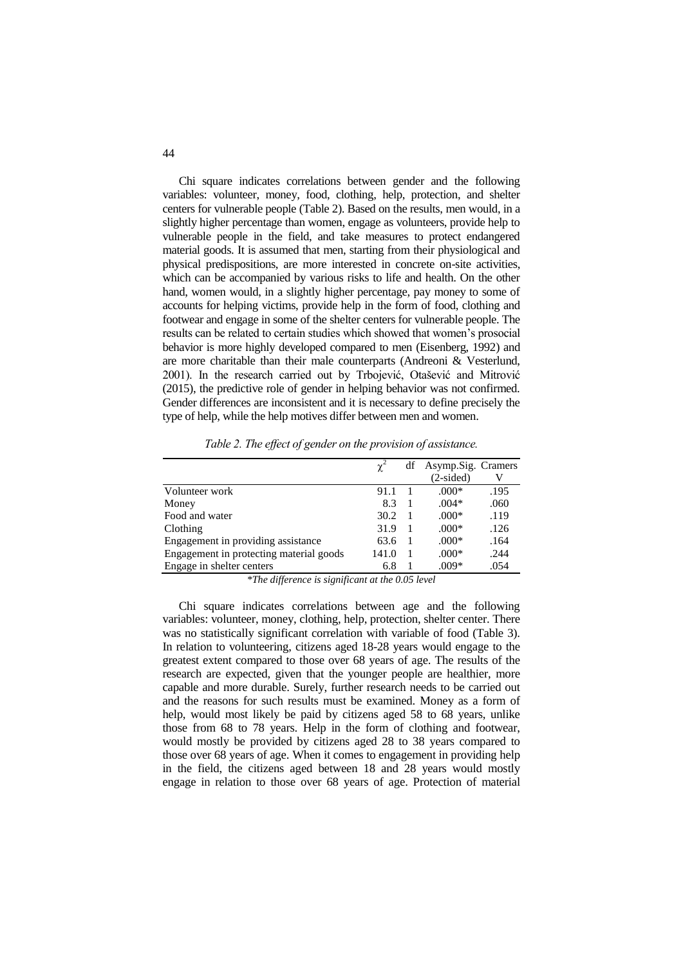Chi square indicates correlations between gender and the following variables: volunteer, money, food, clothing, help, protection, and shelter centers for vulnerable people (Table 2). Based on the results, men would, in a slightly higher percentage than women, engage as volunteers, provide help to vulnerable people in the field, and take measures to protect endangered material goods. It is assumed that men, starting from their physiological and physical predispositions, are more interested in concrete on-site activities, which can be accompanied by various risks to life and health. On the other hand, women would, in a slightly higher percentage, pay money to some of accounts for helping victims, provide help in the form of food, clothing and footwear and engage in some of the shelter centers for vulnerable people. The results can be related to certain studies which showed that women's prosocial behavior is more highly developed compared to men (Eisenberg, 1992) and are more charitable than their male counterparts (Andreoni & Vesterlund, 2001). In the research carried out by Trbojević, Otašević and Mitrović (2015), the predictive role of gender in helping behavior was not confirmed. Gender differences are inconsistent and it is necessary to define precisely the type of help, while the help motives differ between men and women.

|                                         | $\gamma^2$ | df | Asymp.Sig. Cramers |      |
|-----------------------------------------|------------|----|--------------------|------|
|                                         |            |    | $(2-sided)$        | V    |
| Volunteer work                          | 91.1       |    | $.000*$            | .195 |
| Money                                   | 8.3        |    | $.004*$            | .060 |
| Food and water                          | 30.2       |    | $.000*$            | .119 |
| Clothing                                | 31.9       |    | $.000*$            | .126 |
| Engagement in providing assistance      | 63.6       |    | $.000*$            | .164 |
| Engagement in protecting material goods | 141.0      |    | $.000*$            | .244 |
| Engage in shelter centers               | 6.8        |    | .009*              | .054 |

*Table 2. The effect of gender on the provision of assistance.*

*\*The difference is significant at the 0.05 level*

Chi square indicates correlations between age and the following variables: volunteer, money, clothing, help, protection, shelter center. There was no statistically significant correlation with variable of food (Table 3). In relation to volunteering, citizens aged 18-28 years would engage to the greatest extent compared to those over 68 years of age. The results of the research are expected, given that the younger people are healthier, more capable and more durable. Surely, further research needs to be carried out and the reasons for such results must be examined. Money as a form of help, would most likely be paid by citizens aged 58 to 68 years, unlike those from 68 to 78 years. Help in the form of clothing and footwear, would mostly be provided by citizens aged 28 to 38 years compared to those over 68 years of age. When it comes to engagement in providing help in the field, the citizens aged between 18 and 28 years would mostly engage in relation to those over 68 years of age. Protection of material

44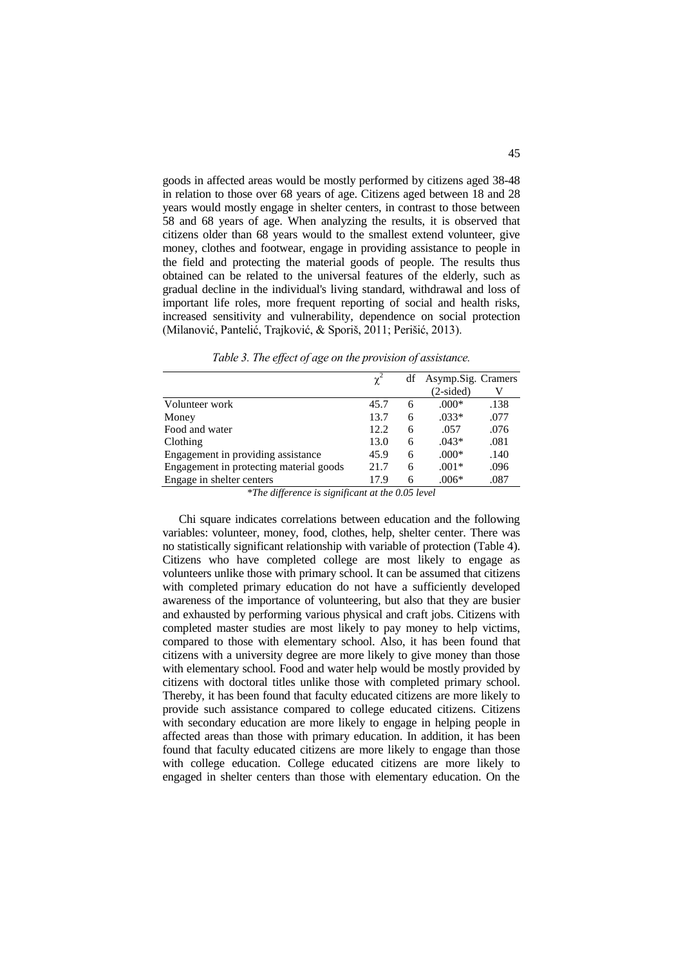goods in affected areas would be mostly performed by citizens aged 38-48 in relation to those over 68 years of age. Citizens aged between 18 and 28 years would mostly engage in shelter centers, in contrast to those between 58 and 68 years of age. When analyzing the results, it is observed that citizens older than 68 years would to the smallest extend volunteer, give money, clothes and footwear, engage in providing assistance to people in the field and protecting the material goods of people. The results thus obtained can be related to the universal features of the elderly, such as gradual decline in the individual's living standard, withdrawal and loss of important life roles, more frequent reporting of social and health risks, increased sensitivity and vulnerability, dependence on social protection (Milanović, Pantelić, Trajković, & Sporiš, 2011; Perišić, 2013).

|                                         | X.   | df | Asymp.Sig. Cramers |      |
|-----------------------------------------|------|----|--------------------|------|
|                                         |      |    | $(2-sided)$        |      |
| Volunteer work                          | 45.7 | 6  | $.000*$            | .138 |
| Money                                   | 13.7 | 6  | $.033*$            | .077 |
| Food and water                          | 12.2 | 6  | .057               | .076 |
| Clothing                                | 13.0 | 6  | $.043*$            | .081 |
| Engagement in providing assistance      | 45.9 | 6  | $.000*$            | .140 |
| Engagement in protecting material goods | 21.7 | 6  | $.001*$            | .096 |
| Engage in shelter centers               | 17.9 | 6  | $.006*$            | .087 |

*Table 3. The effect of age on the provision of assistance.*

*\*The difference is significant at the 0.05 level*

Chi square indicates correlations between education and the following variables: volunteer, money, food, clothes, help, shelter center. There was no statistically significant relationship with variable of protection (Table 4). Citizens who have completed college are most likely to engage as volunteers unlike those with primary school. It can be assumed that citizens with completed primary education do not have a sufficiently developed awareness of the importance of volunteering, but also that they are busier and exhausted by performing various physical and craft jobs. Citizens with completed master studies are most likely to pay money to help victims, compared to those with elementary school. Also, it has been found that citizens with a university degree are more likely to give money than those with elementary school. Food and water help would be mostly provided by citizens with doctoral titles unlike those with completed primary school. Thereby, it has been found that faculty educated citizens are more likely to provide such assistance compared to college educated citizens. Citizens with secondary education are more likely to engage in helping people in affected areas than those with primary education. In addition, it has been found that faculty educated citizens are more likely to engage than those with college education. College educated citizens are more likely to engaged in shelter centers than those with elementary education. On the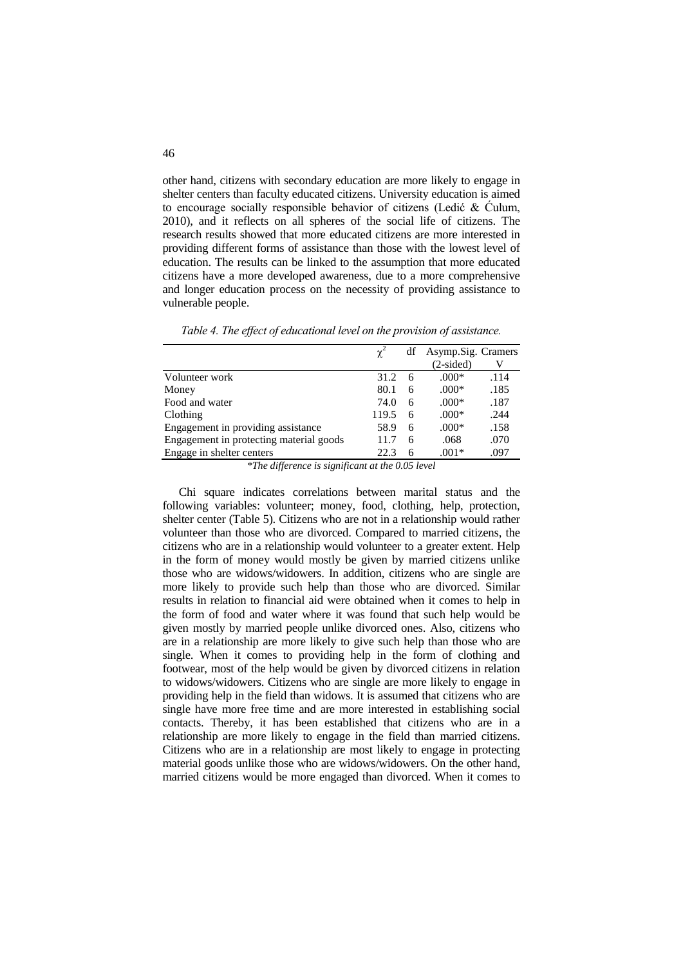other hand, citizens with secondary education are more likely to engage in shelter centers than faculty educated citizens. University education is aimed to encourage socially responsible behavior of citizens (Ledić & Ćulum, 2010), and it reflects on all spheres of the social life of citizens. The research results showed that more educated citizens are more interested in providing different forms of assistance than those with the lowest level of education. The results can be linked to the assumption that more educated citizens have a more developed awareness, due to a more comprehensive and longer education process on the necessity of providing assistance to vulnerable people.

*Table 4. The effect of educational level on the provision of assistance.*

|                                         | $\chi^2$ | df | Asymp.Sig. Cramers |      |
|-----------------------------------------|----------|----|--------------------|------|
|                                         |          |    | $(2-sided)$        |      |
| Volunteer work                          | 31.2     | 6  | $.000*$            | .114 |
| Money                                   | 80.1     | 6  | $.000*$            | .185 |
| Food and water                          | 74.0     | 6  | $.000*$            | .187 |
| Clothing                                | 119.5    | 6  | $.000*$            | .244 |
| Engagement in providing assistance      | 58.9     | 6  | $.000*$            | .158 |
| Engagement in protecting material goods | 11.7     | 6  | .068               | .070 |
| Engage in shelter centers               | 22.3     | 6  | $.001*$            | .097 |

*\*The difference is significant at the 0.05 level*

Chi square indicates correlations between marital status and the following variables: volunteer; money, food, clothing, help, protection, shelter center (Table 5). Citizens who are not in a relationship would rather volunteer than those who are divorced. Compared to married citizens, the citizens who are in a relationship would volunteer to a greater extent. Help in the form of money would mostly be given by married citizens unlike those who are widows/widowers. In addition, citizens who are single are more likely to provide such help than those who are divorced. Similar results in relation to financial aid were obtained when it comes to help in the form of food and water where it was found that such help would be given mostly by married people unlike divorced ones. Also, citizens who are in a relationship are more likely to give such help than those who are single. When it comes to providing help in the form of clothing and footwear, most of the help would be given by divorced citizens in relation to widows/widowers. Citizens who are single are more likely to engage in providing help in the field than widows. It is assumed that citizens who are single have more free time and are more interested in establishing social contacts. Thereby, it has been established that citizens who are in a relationship are more likely to engage in the field than married citizens. Citizens who are in a relationship are most likely to engage in protecting material goods unlike those who are widows/widowers. On the other hand, married citizens would be more engaged than divorced. When it comes to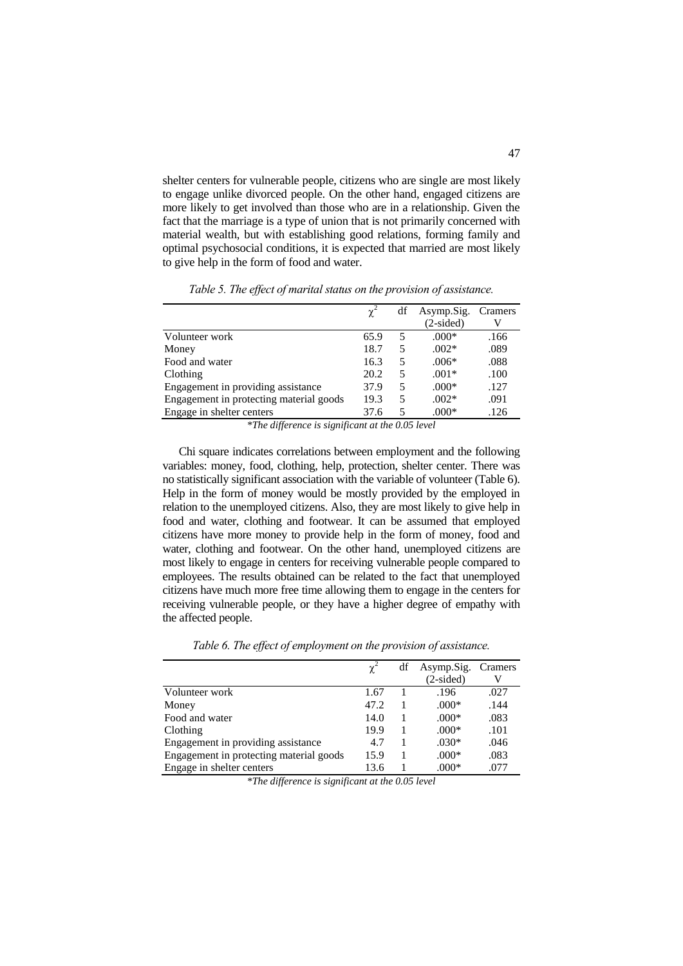shelter centers for vulnerable people, citizens who are single are most likely to engage unlike divorced people. On the other hand, engaged citizens are more likely to get involved than those who are in a relationship. Given the fact that the marriage is a type of union that is not primarily concerned with material wealth, but with establishing good relations, forming family and optimal psychosocial conditions, it is expected that married are most likely to give help in the form of food and water.

|                                         |      | df | Asymp.Sig.<br>$(2-sided)$ | Cramers |
|-----------------------------------------|------|----|---------------------------|---------|
| Volunteer work                          | 65.9 | 5  | $.000*$                   | .166    |
| Money                                   | 18.7 | 5  | $.002*$                   | .089    |
| Food and water                          | 16.3 | 5  | $.006*$                   | .088    |
| Clothing                                | 20.2 | 5  | $.001*$                   | .100    |
| Engagement in providing assistance      | 37.9 | 5  | $.000*$                   | .127    |
| Engagement in protecting material goods | 19.3 | 5  | $.002*$                   | .091    |
| Engage in shelter centers               | 37.6 | 5  | $.000*$                   | .126    |

*Table 5. The effect of marital status on the provision of assistance.*

*\*The difference is significant at the 0.05 level*

Chi square indicates correlations between employment and the following variables: money, food, clothing, help, protection, shelter center. There was no statistically significant association with the variable of volunteer (Table 6). Help in the form of money would be mostly provided by the employed in relation to the unemployed citizens. Also, they are most likely to give help in food and water, clothing and footwear. It can be assumed that employed citizens have more money to provide help in the form of money, food and water, clothing and footwear. On the other hand, unemployed citizens are most likely to engage in centers for receiving vulnerable people compared to employees. The results obtained can be related to the fact that unemployed citizens have much more free time allowing them to engage in the centers for receiving vulnerable people, or they have a higher degree of empathy with the affected people.

|  | Table 6. The effect of employment on the provision of assistance. |  |
|--|-------------------------------------------------------------------|--|
|  |                                                                   |  |

|                                         | $\gamma^2$ | df | Asymp.Sig.  | Cramers |
|-----------------------------------------|------------|----|-------------|---------|
|                                         |            |    | $(2-sided)$ |         |
| Volunteer work                          | 1.67       |    | .196        | .027    |
| Money                                   | 47.2       |    | $.000*$     | .144    |
| Food and water                          | 14.0       |    | $.000*$     | .083    |
| Clothing                                | 19.9       |    | $.000*$     | .101    |
| Engagement in providing assistance      | 4.7        |    | $.030*$     | .046    |
| Engagement in protecting material goods | 15.9       |    | $.000*$     | .083    |
| Engage in shelter centers               | 13.6       |    | $.000*$     | .077    |

*\*The difference is significant at the 0.05 level*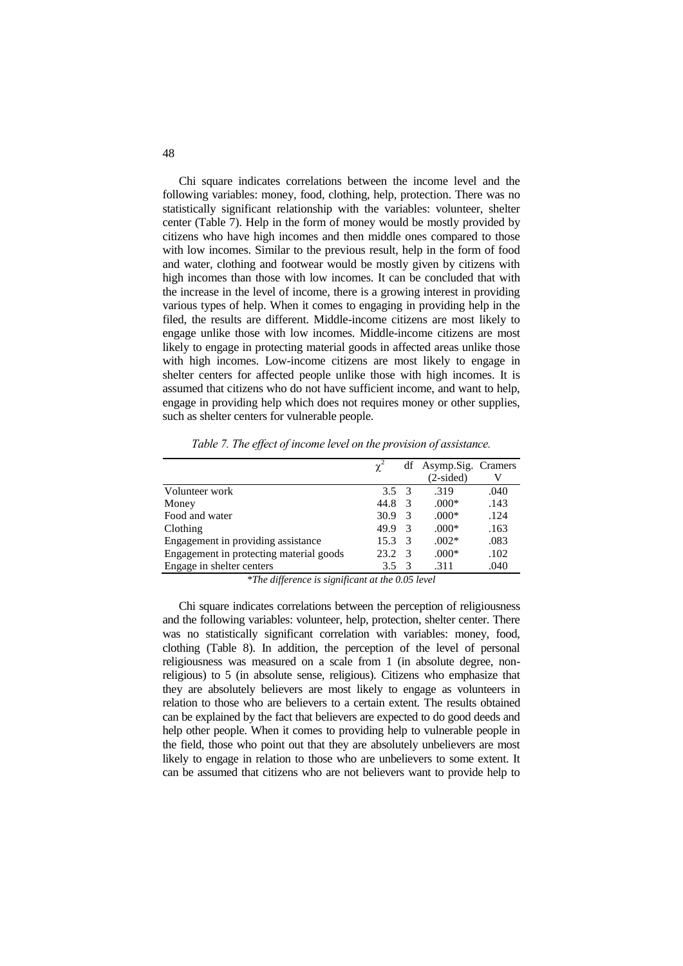Chi square indicates correlations between the income level and the following variables: money, food, clothing, help, protection. There was no statistically significant relationship with the variables: volunteer, shelter center (Table 7). Help in the form of money would be mostly provided by citizens who have high incomes and then middle ones compared to those with low incomes. Similar to the previous result, help in the form of food and water, clothing and footwear would be mostly given by citizens with high incomes than those with low incomes. It can be concluded that with the increase in the level of income, there is a growing interest in providing various types of help. When it comes to engaging in providing help in the filed, the results are different. Middle-income citizens are most likely to engage unlike those with low incomes. Middle-income citizens are most likely to engage in protecting material goods in affected areas unlike those with high incomes. Low-income citizens are most likely to engage in shelter centers for affected people unlike those with high incomes. It is assumed that citizens who do not have sufficient income, and want to help, engage in providing help which does not requires money or other supplies, such as shelter centers for vulnerable people.

|                                         |               |               | df Asymp.Sig. Cramers |      |
|-----------------------------------------|---------------|---------------|-----------------------|------|
|                                         |               |               | $(2-sided)$           |      |
| Volunteer work                          | $3.5 \quad 3$ |               | .319                  | .040 |
| Money                                   | 44.8          | 3             | $.000*$               | .143 |
| Food and water                          | 30.9          | 3             | $.000*$               | .124 |
| Clothing                                | 49.9          | 3             | $.000*$               | .163 |
| Engagement in providing assistance      | 15.3          | $\mathcal{R}$ | $.002*$               | .083 |
| Engagement in protecting material goods | 23.2          | $\mathcal{R}$ | $.000*$               | .102 |
| Engage in shelter centers               | 35            |               | .311                  | .040 |

*Table 7. The effect of income level on the provision of assistance.*

*\*The difference is significant at the 0.05 level*

Chi square indicates correlations between the perception of religiousness and the following variables: volunteer, help, protection, shelter center. There was no statistically significant correlation with variables: money, food, clothing (Table 8). In addition, the perception of the level of personal religiousness was measured on a scale from 1 (in absolute degree, nonreligious) to 5 (in absolute sense, religious). Citizens who emphasize that they are absolutely believers are most likely to engage as volunteers in relation to those who are believers to a certain extent. The results obtained can be explained by the fact that believers are expected to do good deeds and help other people. When it comes to providing help to vulnerable people in the field, those who point out that they are absolutely unbelievers are most likely to engage in relation to those who are unbelievers to some extent. It can be assumed that citizens who are not believers want to provide help to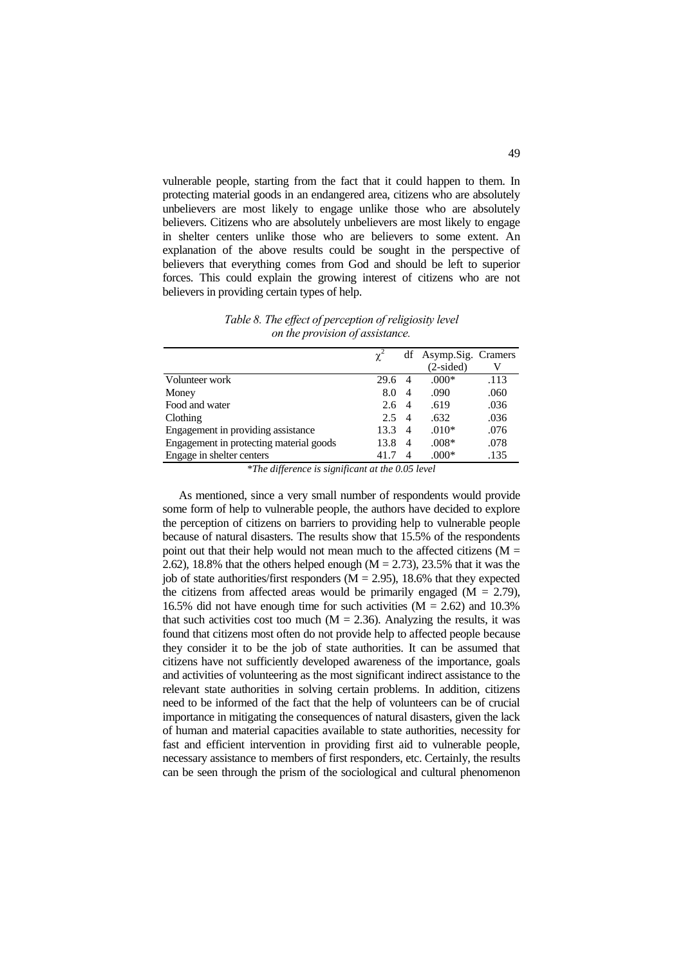vulnerable people, starting from the fact that it could happen to them. In protecting material goods in an endangered area, citizens who are absolutely unbelievers are most likely to engage unlike those who are absolutely believers. Citizens who are absolutely unbelievers are most likely to engage in shelter centers unlike those who are believers to some extent. An explanation of the above results could be sought in the perspective of believers that everything comes from God and should be left to superior forces. This could explain the growing interest of citizens who are not believers in providing certain types of help.

*Table 8. The effect of perception of religiosity level on the provision of assistance.*

|                                         | $\gamma^2$ |   | df Asymp.Sig. Cramers |      |
|-----------------------------------------|------------|---|-----------------------|------|
|                                         |            |   | $(2-sided)$           |      |
| Volunteer work                          | 29.6       | 4 | $.000*$               | .113 |
| Money                                   | 8.0        | 4 | .090                  | .060 |
| Food and water                          | 2.6        | 4 | .619                  | .036 |
| Clothing                                | 2.5        | 4 | .632                  | .036 |
| Engagement in providing assistance      | 13.3       | 4 | $.010*$               | .076 |
| Engagement in protecting material goods | 13.8       | 4 | $.008*$               | .078 |
| Engage in shelter centers               | 41.7       | 4 | $.000*$               | .135 |

*\*The difference is significant at the 0.05 level*

As mentioned, since a very small number of respondents would provide some form of help to vulnerable people, the authors have decided to explore the perception of citizens on barriers to providing help to vulnerable people because of natural disasters. The results show that 15.5% of the respondents point out that their help would not mean much to the affected citizens ( $M =$ 2.62), 18.8% that the others helped enough  $(M = 2.73)$ , 23.5% that it was the job of state authorities/first responders  $(M = 2.95)$ , 18.6% that they expected the citizens from affected areas would be primarily engaged  $(M = 2.79)$ , 16.5% did not have enough time for such activities  $(M = 2.62)$  and 10.3% that such activities cost too much  $(M = 2.36)$ . Analyzing the results, it was found that citizens most often do not provide help to affected people because they consider it to be the job of state authorities. It can be assumed that citizens have not sufficiently developed awareness of the importance, goals and activities of volunteering as the most significant indirect assistance to the relevant state authorities in solving certain problems. In addition, citizens need to be informed of the fact that the help of volunteers can be of crucial importance in mitigating the consequences of natural disasters, given the lack of human and material capacities available to state authorities, necessity for fast and efficient intervention in providing first aid to vulnerable people, necessary assistance to members of first responders, etc. Certainly, the results can be seen through the prism of the sociological and cultural phenomenon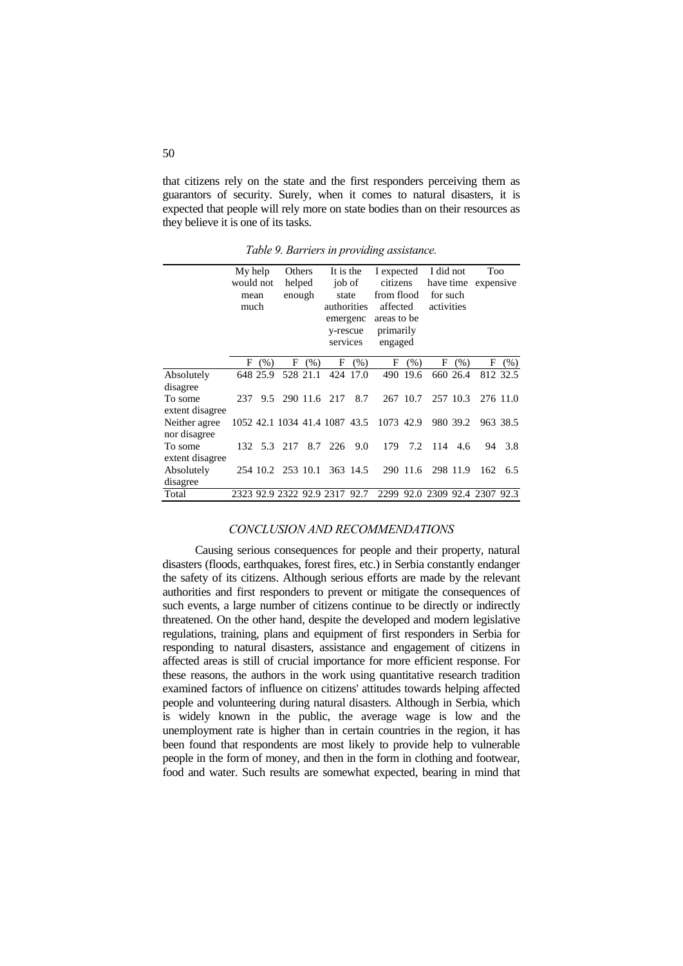that citizens rely on the state and the first responders perceiving them as guarantors of security. Surely, when it comes to natural disasters, it is expected that people will rely more on state bodies than on their resources as they believe it is one of its tasks.

My help would not mean much **Others** helped enough It is the job of state authorities emergenc y-rescue services I expected citizens from flood affected areas to be primarily engaged I did not have time expensive for such activities Too F (%) F (%) F (%) F (%) F (%) F (%) Absolutely disagree 648 25.9 528 21.1 424 17.0 490 19.6 660 26.4 812 32.5 To some extent disagree 237 9.5 290 11.6 217 8.7 267 10.7 257 10.3 276 11.0 Neither agree nor disagree 1052 42.1 1034 41.4 1087 43.5 1073 42.9 980 39.2 963 38.5 To some extent disagree 132 5.3 217 8.7 226 9.0 179 7.2 114 4.6 94 3.8 Absolutely disagree 254 10.2 253 10.1 363 14.5 290 11.6 298 11.9 162 6.5 Total 2323 92.9 2322 92.9 2317 92.7 2299 92.0 2309 92.4 2307 92.3

*Table 9. Barriers in providing assistance.*

#### *CONCLUSION AND RECOMMENDATIONS*

Causing serious consequences for people and their property, natural disasters (floods, earthquakes, forest fires, etc.) in Serbia constantly endanger the safety of its citizens. Although serious efforts are made by the relevant authorities and first responders to prevent or mitigate the consequences of such events, a large number of citizens continue to be directly or indirectly threatened. On the other hand, despite the developed and modern legislative regulations, training, plans and equipment of first responders in Serbia for responding to natural disasters, assistance and engagement of citizens in affected areas is still of crucial importance for more efficient response. For these reasons, the authors in the work using quantitative research tradition examined factors of influence on citizens' attitudes towards helping affected people and volunteering during natural disasters. Although in Serbia, which is widely known in the public, the average wage is low and the unemployment rate is higher than in certain countries in the region, it has been found that respondents are most likely to provide help to vulnerable people in the form of money, and then in the form in clothing and footwear, food and water. Such results are somewhat expected, bearing in mind that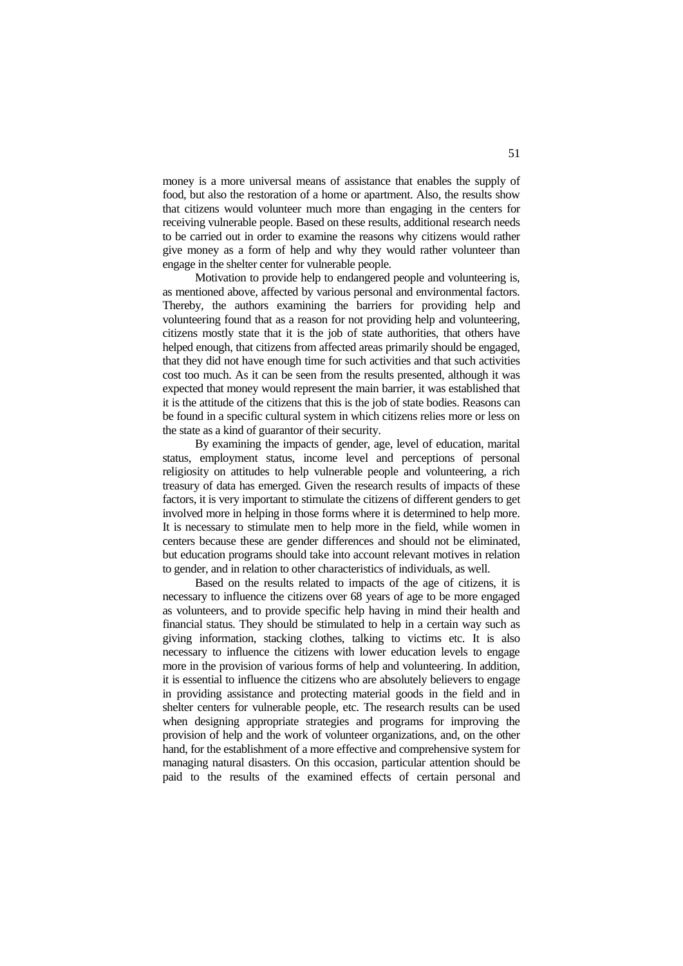money is a more universal means of assistance that enables the supply of food, but also the restoration of a home or apartment. Also, the results show that citizens would volunteer much more than engaging in the centers for receiving vulnerable people. Based on these results, additional research needs to be carried out in order to examine the reasons why citizens would rather give money as a form of help and why they would rather volunteer than engage in the shelter center for vulnerable people.

Motivation to provide help to endangered people and volunteering is, as mentioned above, affected by various personal and environmental factors. Thereby, the authors examining the barriers for providing help and volunteering found that as a reason for not providing help and volunteering, citizens mostly state that it is the job of state authorities, that others have helped enough, that citizens from affected areas primarily should be engaged, that they did not have enough time for such activities and that such activities cost too much. As it can be seen from the results presented, although it was expected that money would represent the main barrier, it was established that it is the attitude of the citizens that this is the job of state bodies. Reasons can be found in a specific cultural system in which citizens relies more or less on the state as a kind of guarantor of their security.

By examining the impacts of gender, age, level of education, marital status, employment status, income level and perceptions of personal religiosity on attitudes to help vulnerable people and volunteering, a rich treasury of data has emerged. Given the research results of impacts of these factors, it is very important to stimulate the citizens of different genders to get involved more in helping in those forms where it is determined to help more. It is necessary to stimulate men to help more in the field, while women in centers because these are gender differences and should not be eliminated, but education programs should take into account relevant motives in relation to gender, and in relation to other characteristics of individuals, as well.

Based on the results related to impacts of the age of citizens, it is necessary to influence the citizens over 68 years of age to be more engaged as volunteers, and to provide specific help having in mind their health and financial status. They should be stimulated to help in a certain way such as giving information, stacking clothes, talking to victims etc. It is also necessary to influence the citizens with lower education levels to engage more in the provision of various forms of help and volunteering. In addition, it is essential to influence the citizens who are absolutely believers to engage in providing assistance and protecting material goods in the field and in shelter centers for vulnerable people, etc. The research results can be used when designing appropriate strategies and programs for improving the provision of help and the work of volunteer organizations, and, on the other hand, for the establishment of a more effective and comprehensive system for managing natural disasters. On this occasion, particular attention should be paid to the results of the examined effects of certain personal and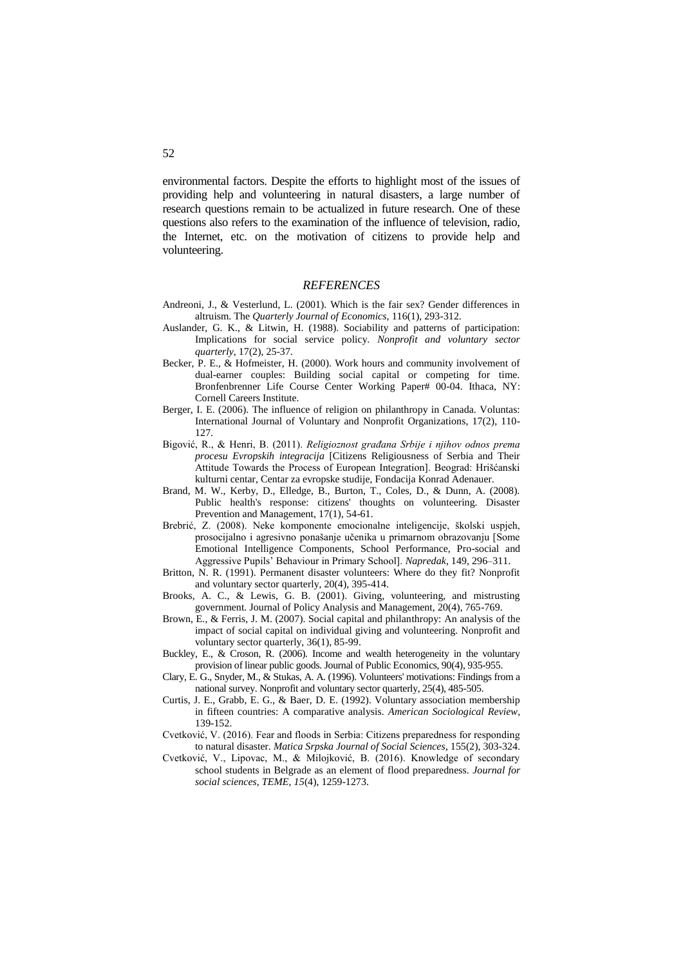environmental factors. Despite the efforts to highlight most of the issues of providing help and volunteering in natural disasters, a large number of research questions remain to be actualized in future research. One of these questions also refers to the examination of the influence of television, radio, the Internet, etc. on the motivation of citizens to provide help and volunteering.

### *REFERENCES*

- Andreoni, J., & Vesterlund, L. (2001). Which is the fair sex? Gender differences in altruism. The *Quarterly Journal of Economics*, 116(1), 293-312.
- Auslander, G. K., & Litwin, H. (1988). Sociability and patterns of participation: Implications for social service policy. *Nonprofit and voluntary sector quarterly*, 17(2), 25-37.
- Becker, P. E., & Hofmeister, H. (2000). Work hours and community involvement of dual-earner couples: Building social capital or competing for time. Bronfenbrenner Life Course Center Working Paper# 00-04. Ithaca, NY: Cornell Careers Institute.
- Berger, I. E. (2006). The influence of religion on philanthropy in Canada. Voluntas: International Journal of Voluntary and Nonprofit Organizations, 17(2), 110- 127.
- Bigović, R., & Henri, B. (2011). *Religioznost građana Srbije i njihov odnos prema procesu Evropskih integracija* [Citizens Religiousness of Serbia and Their Attitude Towards the Process of European Integration]. Beograd: Hrišćanski kulturni centar, Centar za evropske studije, Fondacija Konrad Adenauer.
- Brand, M. W., Kerby, D., Elledge, B., Burton, T., Coles, D., & Dunn, A. (2008). Public health's response: citizens' thoughts on volunteering. Disaster Prevention and Management, 17(1), 54-61.
- Brebrić, Z. (2008). Neke komponente emocionalne inteligencije, školski uspjeh, prosocijalno i agresivno ponašanje učenika u primarnom obrazovanju [Some Emotional Intelligence Components, School Performance, Pro-social and Aggressive Pupils' Behaviour in Primary School]. *Napredak*, 149, 296–311.
- Britton, N. R. (1991). Permanent disaster volunteers: Where do they fit? Nonprofit and voluntary sector quarterly, 20(4), 395-414.
- Brooks, A. C., & Lewis, G. B. (2001). Giving, volunteering, and mistrusting government. Journal of Policy Analysis and Management, 20(4), 765-769.
- Brown, E., & Ferris, J. M. (2007). Social capital and philanthropy: An analysis of the impact of social capital on individual giving and volunteering. Nonprofit and voluntary sector quarterly, 36(1), 85-99.
- Buckley, E., & Croson, R. (2006). Income and wealth heterogeneity in the voluntary provision of linear public goods. Journal of Public Economics, 90(4), 935-955.
- Clary, E. G., Snyder, M., & Stukas, A. A. (1996). Volunteers' motivations: Findings from a national survey. Nonprofit and voluntary sector quarterly, 25(4), 485-505.
- Curtis, J. E., Grabb, E. G., & Baer, D. E. (1992). Voluntary association membership in fifteen countries: A comparative analysis. *American Sociological Review*, 139-152.
- Cvetković, V. (2016). Fear and floods in Serbia: Citizens preparedness for responding to natural disaster. *Matica Srpska Journal of Social Sciences*, 155(2), 303-324.
- Cvetković, V., Lipovac, M., & Milojković, B. (2016). Knowledge of secondary school students in Belgrade as an element of flood preparedness. *Journal for social sciences, TEME, 15*(4), 1259-1273.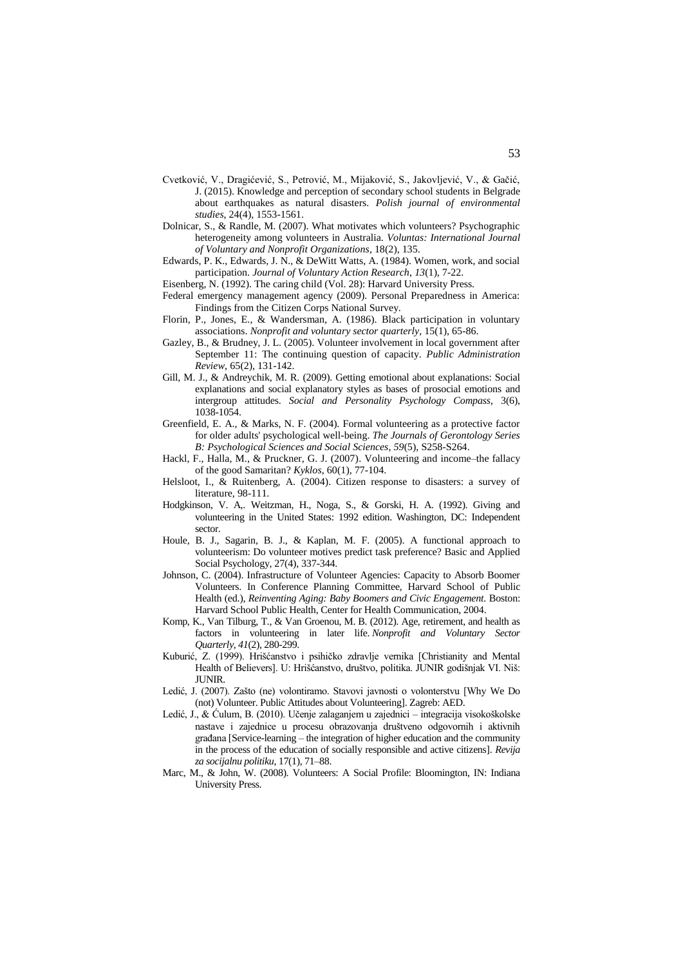- Cvetković, V., Dragićević, S., Petrović, M., Mijaković, S., Jakovljević, V., & Gačić, J. (2015). Knowledge and perception of secondary school students in Belgrade about earthquakes as natural disasters. *Polish journal of environmental studies*, 24(4), 1553-1561.
- Dolnicar, S., & Randle, M. (2007). What motivates which volunteers? Psychographic heterogeneity among volunteers in Australia. *Voluntas: International Journal of Voluntary and Nonprofit Organizations*, 18(2), 135.
- Edwards, P. K., Edwards, J. N., & DeWitt Watts, A. (1984). Women, work, and social participation. *Journal of Voluntary Action Research*, *13*(1), 7-22.
- Eisenberg, N. (1992). The caring child (Vol. 28): Harvard University Press.
- Federal emergency management agency (2009). Personal Preparedness in America: Findings from the Citizen Corps National Survey.
- Florin, P., Jones, E., & Wandersman, A. (1986). Black participation in voluntary associations. *Nonprofit and voluntary sector quarterly*, 15(1), 65-86.
- Gazley, B., & Brudney, J. L. (2005). Volunteer involvement in local government after September 11: The continuing question of capacity. *Public Administration Review*, 65(2), 131-142.
- Gill, M. J., & Andreychik, M. R. (2009). Getting emotional about explanations: Social explanations and social explanatory styles as bases of prosocial emotions and intergroup attitudes. *Social and Personality Psychology Compass*, 3(6), 1038-1054.
- Greenfield, E. A., & Marks, N. F. (2004). Formal volunteering as a protective factor for older adults' psychological well-being. *The Journals of Gerontology Series B: Psychological Sciences and Social Sciences*, *59*(5), S258-S264.
- Hackl, F., Halla, M., & Pruckner, G. J. (2007). Volunteering and income–the fallacy of the good Samaritan? *Kyklos*, 60(1), 77-104.
- Helsloot, I., & Ruitenberg, A. (2004). Citizen response to disasters: a survey of literature, 98-111.
- Hodgkinson, V. A,. Weitzman, H., Noga, S., & Gorski, H. A. (1992). Giving and volunteering in the United States: 1992 edition. Washington, DC: Independent sector.
- Houle, B. J., Sagarin, B. J., & Kaplan, M. F. (2005). A functional approach to volunteerism: Do volunteer motives predict task preference? Basic and Applied Social Psychology, 27(4), 337-344.
- Johnson, C. (2004). Infrastructure of Volunteer Agencies: Capacity to Absorb Boomer Volunteers. In Conference Planning Committee, Harvard School of Public Health (ed.), *Reinventing Aging: Baby Boomers and Civic Engagement.* Boston: Harvard School Public Health, Center for Health Communication, 2004.
- Komp, K., Van Tilburg, T., & Van Groenou, M. B. (2012). Age, retirement, and health as factors in volunteering in later life. *Nonprofit and Voluntary Sector Quarterly*, *41*(2), 280-299.
- Kuburić, Z. (1999). Hrišćanstvo i psihičko zdravlje vernika [Christianity and Mental Health of Believers]. U: Hrišćanstvo, društvo, politika. JUNIR godišnjak VI. Niš: JUNIR.
- Ledić, J. (2007). Zašto (ne) volontiramo. Stavovi javnosti o volonterstvu [Why We Do (not) Volunteer. Public Attitudes about Volunteering]. Zagreb: AED.
- Ledić, J., & Ćulum, B. (2010). Učenje zalaganjem u zajednici integracija visokoškolske nastave i zajednice u procesu obrazovanja društveno odgovornih i aktivnih građana [Service-learning – the integration of higher education and the community in the process of the education of socially responsible and active citizens]. *Revija za socijalnu politiku*, 17(1), 71–88.
- Marc, M., & John, W. (2008). Volunteers: A Social Profile: Bloomington, IN: Indiana University Press.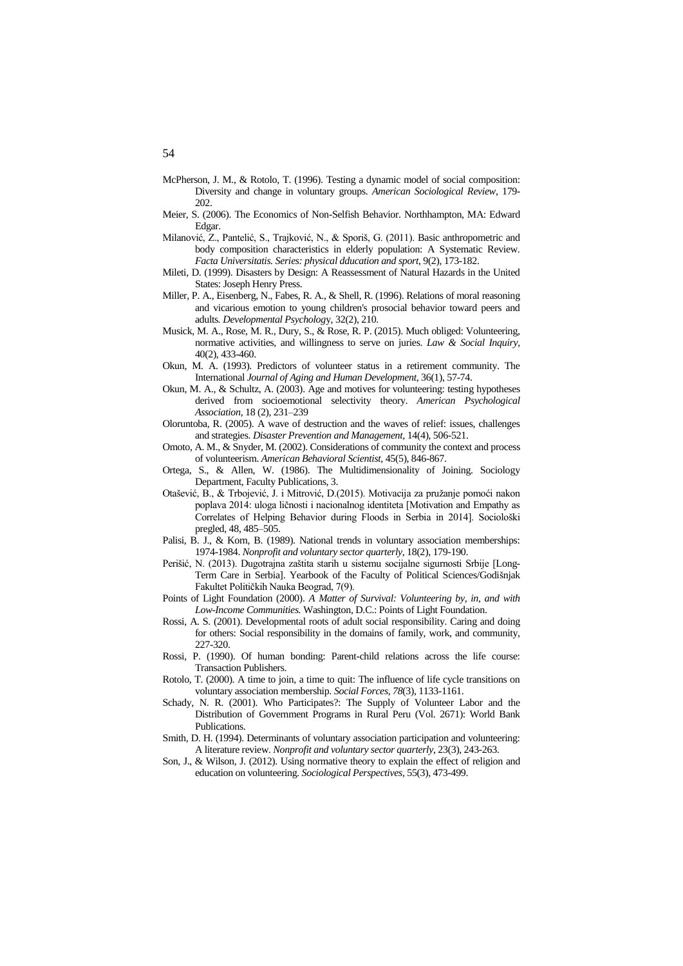- McPherson, J. M., & Rotolo, T. (1996). Testing a dynamic model of social composition: Diversity and change in voluntary groups. *American Sociological Review*, 179- 202.
- Meier, S. (2006). The Economics of Non-Selfish Behavior. Northhampton, MA: Edward Edgar.
- Milanović, Z., Pantelić, S., Trajković, N., & Sporiš, G. (2011). Basic anthropometric and body composition characteristics in elderly population: A Systematic Review. *Facta Universitatis. Series: physical dducation and sport*, 9(2), 173-182.
- Mileti, D. (1999). Disasters by Design: A Reassessment of Natural Hazards in the United States: Joseph Henry Press.
- Miller, P. A., Eisenberg, N., Fabes, R. A., & Shell, R. (1996). Relations of moral reasoning and vicarious emotion to young children's prosocial behavior toward peers and adults*. Developmental Psycholog*y, 32(2), 210.
- Musick, M. A., Rose, M. R., Dury, S., & Rose, R. P. (2015). Much obliged: Volunteering, normative activities, and willingness to serve on juries. *Law & Social Inquiry*, 40(2), 433-460.
- Okun, M. A. (1993). Predictors of volunteer status in a retirement community. The International *Journal of Aging and Human Development*, 36(1), 57-74.
- Okun, M. A., & Schultz, A. (2003). Age and motives for volunteering: testing hypotheses derived from socioemotional selectivity theory. *American Psychological Association*, 18 (2), 231–239
- Oloruntoba, R. (2005). A wave of destruction and the waves of relief: issues, challenges and strategies. *Disaster Prevention and Management*, 14(4), 506-521.
- Omoto, A. M., & Snyder, M. (2002). Considerations of community the context and process of volunteerism. *American Behavioral Scientist*, 45(5), 846-867.
- Ortega, S., & Allen, W. (1986). The Multidimensionality of Joining. Sociology Department, Faculty Publications, 3.
- Otašević, B., & Trbojević, J. i Mitrović, D.(2015). Motivacija za pružanje pomoći nakon poplava 2014: uloga ličnosti i nacionalnog identiteta [Motivation and Empathy as Correlates of Helping Behavior during Floods in Serbia in 2014]. Sociološki pregled, 48, 485–505.
- Palisi, B. J., & Korn, B. (1989). National trends in voluntary association memberships: 1974-1984. *Nonprofit and voluntary sector quarterly*, 18(2), 179-190.
- Perišić, N. (2013). Dugotrajna zaštita starih u sistemu socijalne sigurnosti Srbije [Long-Term Care in Serbia]. Yearbook of the Faculty of Political Sciences/Godišnjak Fakultet Političkih Nauka Beograd, 7(9).
- Points of Light Foundation (2000). *A Matter of Survival: Volunteering by, in, and with Low-Income Communities.* Washington, D.C.: Points of Light Foundation.
- Rossi, A. S. (2001). Developmental roots of adult social responsibility. Caring and doing for others: Social responsibility in the domains of family, work, and community, 227-320.
- Rossi, P. (1990). Of human bonding: Parent-child relations across the life course: Transaction Publishers.
- Rotolo, T. (2000). A time to join, a time to quit: The influence of life cycle transitions on voluntary association membership. *Social Forces*, *78*(3), 1133-1161.
- Schady, N. R. (2001). Who Participates?: The Supply of Volunteer Labor and the Distribution of Government Programs in Rural Peru (Vol. 2671): World Bank Publications.
- Smith, D. H. (1994). Determinants of voluntary association participation and volunteering: A literature review. *Nonprofit and voluntary sector quarterly*, 23(3), 243-263.
- Son, J., & Wilson, J. (2012). Using normative theory to explain the effect of religion and education on volunteering. *Sociological Perspectives*, 55(3), 473-499.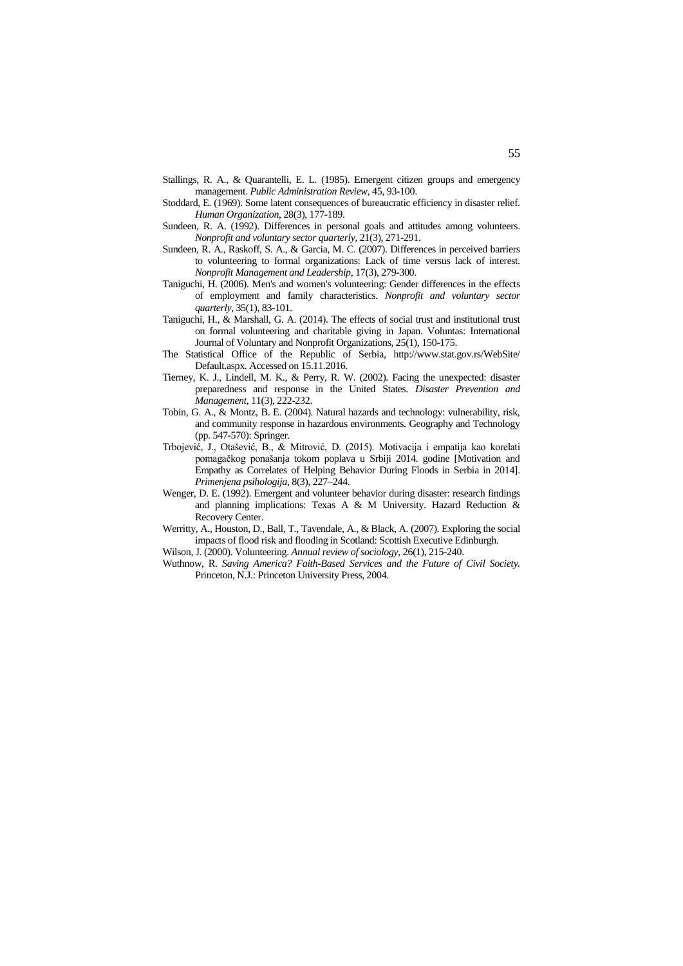- Stallings, R. A., & Quarantelli, E. L. (1985). Emergent citizen groups and emergency management. *Public Administration Review*, 45, 93-100.
- Stoddard, E. (1969). Some latent consequences of bureaucratic efficiency in disaster relief. *Human Organization*, 28(3), 177-189.
- Sundeen, R. A. (1992). Differences in personal goals and attitudes among volunteers. *Nonprofit and voluntary sector quarterly,* 21(3), 271-291.
- Sundeen, R. A., Raskoff, S. A., & Garcia, M. C. (2007). Differences in perceived barriers to volunteering to formal organizations: Lack of time versus lack of interest. *Nonprofit Management and Leadership*, 17(3), 279-300.
- Taniguchi, H. (2006). Men's and women's volunteering: Gender differences in the effects of employment and family characteristics. *Nonprofit and voluntary sector quarterly*, 35(1), 83-101.
- Taniguchi, H., & Marshall, G. A. (2014). The effects of social trust and institutional trust on formal volunteering and charitable giving in Japan. Voluntas: International Journal of Voluntary and Nonprofit Organizations, 25(1), 150-175.
- The Statistical Office of the Republic of Serbia, http://www.stat.gov.rs/WebSite/ Default.aspx. Accessed on 15.11.2016.
- Tierney, K. J., Lindell, M. K., & Perry, R. W. (2002). Facing the unexpected: disaster preparedness and response in the United States. *Disaster Prevention and Management*, 11(3), 222-232.
- Tobin, G. A., & Montz, B. E. (2004). Natural hazards and technology: vulnerability, risk, and community response in hazardous environments. Geography and Technology (pp. 547-570): Springer.
- Trbojević, J., Otašević, B., & Mitrović, D. (2015). Motivacija i empatija kao korelati pomagačkog ponašanja tokom poplava u Srbiji 2014. godine [Motivation and Empathy as Correlates of Helping Behavior During Floods in Serbia in 2014]. *Primenjena psihologija*, 8(3), 227–244.
- Wenger, D. E. (1992). Emergent and volunteer behavior during disaster: research findings and planning implications: Texas A & M University. Hazard Reduction & Recovery Center.
- Werritty, A., Houston, D., Ball, T., Tavendale, A., & Black, A. (2007). Exploring the social impacts of flood risk and flooding in Scotland: Scottish Executive Edinburgh.
- Wilson, J. (2000). Volunteering. *Annual review of sociology*, 26(1), 215-240.
- Wuthnow, R. *Saving America? Faith-Based Services and the Future of Civil Society.*  Princeton, N.J.: Princeton University Press, 2004.